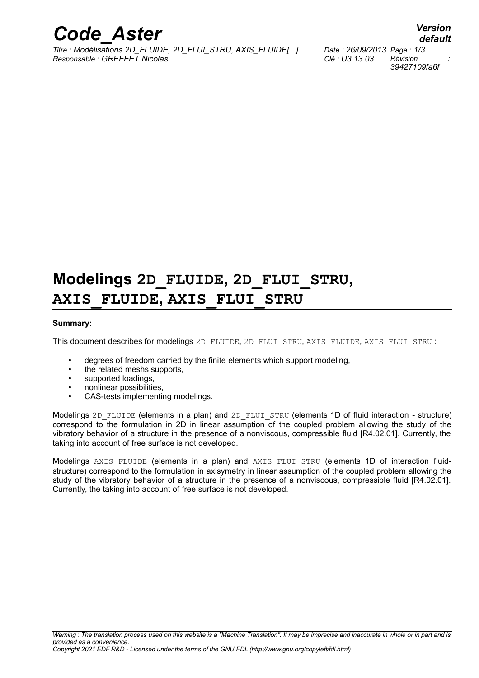

*Titre : Modélisations 2D\_FLUIDE, 2D\_FLUI\_STRU, AXIS\_FLUIDE[...] Date : 26/09/2013 Page : 1/3 Responsable : GREFFET Nicolas Clé : U3.13.03 Révision :*

*39427109fa6f*

## **Modelings 2D\_FLUIDE, 2D\_FLUI\_STRU, AXIS\_FLUIDE, AXIS\_FLUI\_STRU**

#### **Summary:**

This document describes for modelings 2D\_FLUIDE, 2D\_FLUI\_STRU, AXIS\_FLUIDE, AXIS\_FLUI\_STRU :

- degrees of freedom carried by the finite elements which support modeling,
- the related meshs supports,
- supported loadings,
- nonlinear possibilities,
- CAS-tests implementing modelings.

Modelings 2D\_FLUIDE (elements in a plan) and 2D\_FLUI\_STRU (elements 1D of fluid interaction - structure) correspond to the formulation in 2D in linear assumption of the coupled problem allowing the study of the vibratory behavior of a structure in the presence of a nonviscous, compressible fluid [R4.02.01]. Currently, the taking into account of free surface is not developed.

Modelings AXIS FLUIDE (elements in a plan) and AXIS FLUI STRU (elements 1D of interaction fluidstructure) correspond to the formulation in axisymetry in linear assumption of the coupled problem allowing the study of the vibratory behavior of a structure in the presence of a nonviscous, compressible fluid [R4.02.01]. Currently, the taking into account of free surface is not developed.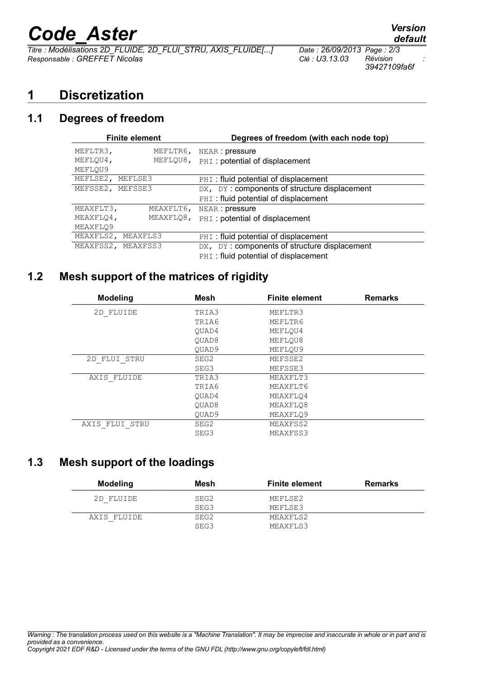# *Code\_Aster Version*

*Titre : Modélisations 2D\_FLUIDE, 2D\_FLUI\_STRU, AXIS\_FLUIDE[...] Date : 26/09/2013 Page : 2/3 Responsable : GREFFET Nicolas Clé : U3.13.03 Révision :*

*39427109fa6f*

## **1 Discretization**

### **1.1 Degrees of freedom**

| <b>Finite element</b> |           | Degrees of freedom (with each node top)      |  |
|-----------------------|-----------|----------------------------------------------|--|
| MEFLTR3,              | MEFLTR6,  | NEAR : pressure                              |  |
| MEFLOU4,              | MEFLOU8,  | PHI: potential of displacement               |  |
| MEFLOU9               |           |                                              |  |
| MEFLSE2,<br>MEFLSE3   |           | PHI: fluid potential of displacement         |  |
| MEFSSE2, MEFSSE3      |           | DX, DY: components of structure displacement |  |
|                       |           | PHI: fluid potential of displacement         |  |
| MEAXFLT3,             | MEAXFLT6, | NEAR: pressure                               |  |
| MEAXFLO4,             | MEAXFLO8, | PHI: potential of displacement               |  |
| MEAXFLO9              |           |                                              |  |
| MEAXFLS2, MEAXFLS3    |           | PHI: fluid potential of displacement         |  |
| MEAXFSS2, MEAXFSS3    |           | DX, DY: components of structure displacement |  |
|                       |           | PHI: fluid potential of displacement         |  |

## **1.2 Mesh support of the matrices of rigidity**

| <b>Modeling</b> | <b>Mesh</b>       | <b>Finite element</b> | <b>Remarks</b> |
|-----------------|-------------------|-----------------------|----------------|
| 2D FLUIDE       | TRIA3             | MEFLTR3               |                |
|                 | TRIA6             | MEFLTR6               |                |
|                 | OUAD4             | MEFLOU4               |                |
|                 | OUAD8             | MEFLOU8               |                |
|                 | OUAD9             | MEFLOU9               |                |
| 2D FLUI STRU    | SEG2              | MEFSSE2               |                |
|                 | SEG3              | MEFSSE3               |                |
| AXIS FLUIDE     | TRIA3             | MEAXFLT3              |                |
|                 | TRIA6             | MEAXFLT6              |                |
|                 | OUAD4             | MEAXFLO4              |                |
|                 | OUAD <sub>8</sub> | MEAXFLO8              |                |
|                 | OUAD9             | MEAXFLO9              |                |
| AXIS FLUI STRU  | SEG2              | MEAXFSS2              |                |
|                 | SEG3              | MEAXFSS3              |                |

## **1.3 Mesh support of the loadings**

| Modeling    | Mesh | <b>Finite element</b> | <b>Remarks</b> |
|-------------|------|-----------------------|----------------|
| 2D FLUIDE   | SEG2 | MEFLSE2               |                |
|             | SEG3 | MEFLSE3               |                |
| AXIS FLUIDE | SEG2 | MEAXFLS2              |                |
|             | SEG3 | MEAXFLS3              |                |